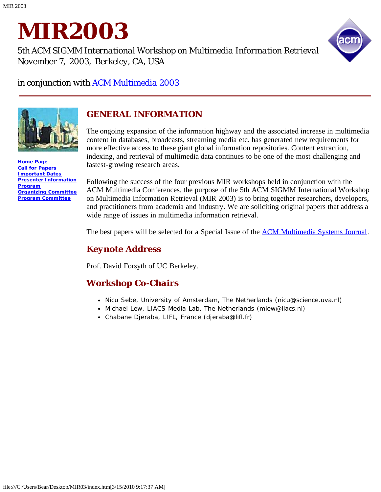

*5th ACM SIGMM International Workshop on Multimedia Information Retrieval November 7, 2003, Berkeley, CA, USA*



*in conjunction with [ACM Multimedia 2003](javascript:if(confirm()*



**[Home Page](#page-1-0) [Call for Papers](#page-2-0) [Important Dates](#page-4-0) [Presenter Information](#page-5-0) [Program](#page-6-0) [Organizing Committee](#page-9-0) [Program Committee](#page-10-0)**

### *GENERAL INFORMATION*

The ongoing expansion of the information highway and the associated increase in multimedia content in databases, broadcasts, streaming media etc. has generated new requirements for more effective access to these giant global information repositories. Content extraction, indexing, and retrieval of multimedia data continues to be one of the most challenging and fastest-growing research areas.

Following the success of the four previous MIR workshops held in conjunction with the ACM Multimedia Conferences, the purpose of the 5th ACM SIGMM International Workshop on Multimedia Information Retrieval (MIR 2003) is to bring together researchers, developers, and practitioners from academia and industry. We are soliciting original papers that address a wide range of issues in multimedia information retrieval.

The best papers will be selected for a Special Issue of the **ACM Multimedia Systems Journal**.

### *Keynote Address*

Prof. David Forsyth of UC Berkeley.

### *Workshop Co-Chairs*

- Nicu Sebe, University of Amsterdam, The Netherlands (nicu@science.uva.nl)
- Michael Lew, LIACS Media Lab, The Netherlands (mlew@liacs.nl)
- Chabane Djeraba, LIFL, France (djeraba@lifl.fr)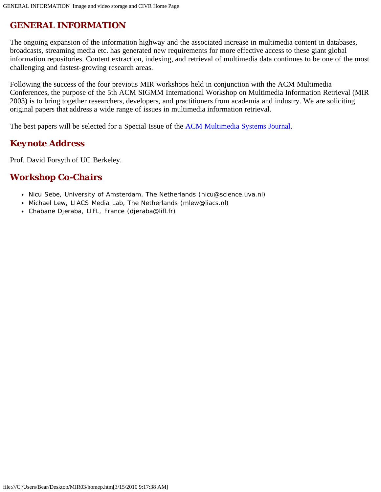## <span id="page-1-0"></span>*GENERAL INFORMATION*

The ongoing expansion of the information highway and the associated increase in multimedia content in databases, broadcasts, streaming media etc. has generated new requirements for more effective access to these giant global information repositories. Content extraction, indexing, and retrieval of multimedia data continues to be one of the most challenging and fastest-growing research areas.

Following the success of the four previous MIR workshops held in conjunction with the ACM Multimedia Conferences, the purpose of the 5th ACM SIGMM International Workshop on Multimedia Information Retrieval (MIR 2003) is to bring together researchers, developers, and practitioners from academia and industry. We are soliciting original papers that address a wide range of issues in multimedia information retrieval.

The best papers will be selected for a Special Issue of the [ACM Multimedia Systems Journal.](javascript:if(confirm()

### *Keynote Address*

Prof. David Forsyth of UC Berkeley.

### *Workshop Co-Chairs*

- Nicu Sebe, University of Amsterdam, The Netherlands (nicu@science.uva.nl)
- Michael Lew, LIACS Media Lab, The Netherlands (mlew@liacs.nl)
- Chabane Djeraba, LIFL, France (djeraba@lifl.fr)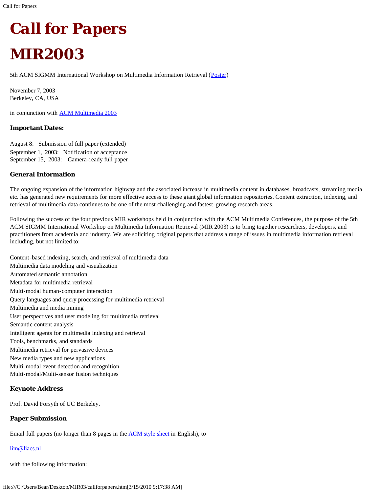<span id="page-2-0"></span>

# *MIR2003*

5th ACM SIGMM International Workshop on Multimedia Information Retrieval ([Poster](javascript:if(confirm())

November 7, 2003 Berkeley, CA, USA

in conjunction with **[ACM Multimedia 2003](javascript:if(confirm()** 

#### **Important Dates:**

August 8: Submission of full paper (extended) September 1, 2003: Notification of acceptance September 15, 2003: Camera-ready full paper

#### **General Information**

The ongoing expansion of the information highway and the associated increase in multimedia content in databases, broadcasts, streaming media etc. has generated new requirements for more effective access to these giant global information repositories. Content extraction, indexing, and retrieval of multimedia data continues to be one of the most challenging and fastest-growing research areas.

Following the success of the four previous MIR workshops held in conjunction with the ACM Multimedia Conferences, the purpose of the 5th ACM SIGMM International Workshop on Multimedia Information Retrieval (MIR 2003) is to bring together researchers, developers, and practitioners from academia and industry. We are soliciting original papers that address a range of issues in multimedia information retrieval including, but not limited to:

Content-based indexing, search, and retrieval of multimedia data Multimedia data modeling and visualization Automated semantic annotation Metadata for multimedia retrieval Multi-modal human-computer interaction Query languages and query processing for multimedia retrieval Multimedia and media mining User perspectives and user modeling for multimedia retrieval Semantic content analysis Intelligent agents for multimedia indexing and retrieval Tools, benchmarks, and standards Multimedia retrieval for pervasive devices New media types and new applications Multi-modal event detection and recognition Multi-modal/Multi-sensor fusion techniques

#### **Keynote Address**

Prof. David Forsyth of UC Berkeley.

#### **Paper Submission**

Email full papers (no longer than 8 pages in the [ACM style sheet](javascript:if(confirm() in English), to

#### [lim@liacs.nl](mailto:lim@liacs.nl)

with the following information: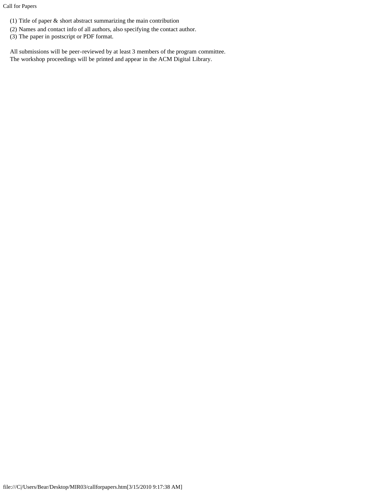Call for Papers

- (1) Title of paper & short abstract summarizing the main contribution
- (2) Names and contact info of all authors, also specifying the contact author.
- (3) The paper in postscript or PDF format.

All submissions will be peer-reviewed by at least 3 members of the program committee. The workshop proceedings will be printed and appear in the ACM Digital Library.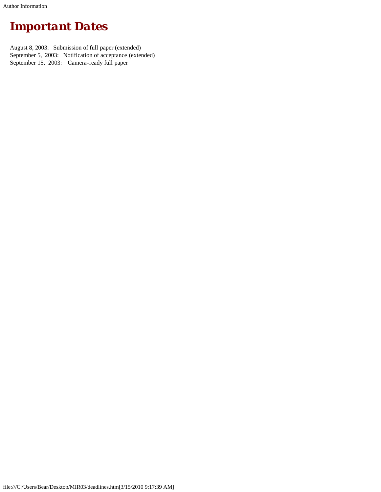<span id="page-4-0"></span>Author Information

## *Important Dates*

August 8, 2003: Submission of full paper (extended) September 5, 2003: Notification of acceptance (extended) September 15, 2003: Camera-ready full paper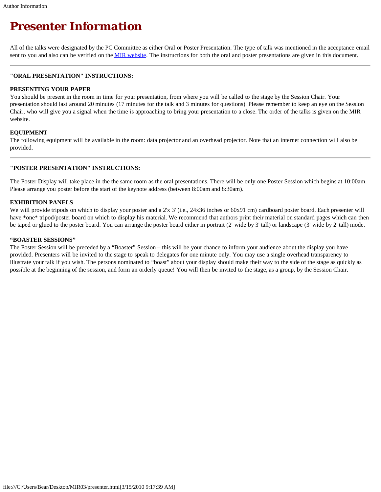## <span id="page-5-0"></span>*Presenter Information*

All of the talks were designated by the PC Committee as either Oral or Poster Presentation. The type of talk was mentioned in the acceptance email sent to you and also can be verified on the [MIR website](javascript:if(confirm(). The instructions for both the oral and poster presentations are given in this document.

#### **"ORAL PRESENTATION" INSTRUCTIONS:**

#### **PRESENTING YOUR PAPER**

You should be present in the room in time for your presentation, from where you will be called to the stage by the Session Chair. Your presentation should last around 20 minutes (17 minutes for the talk and 3 minutes for questions). Please remember to keep an eye on the Session Chair, who will give you a signal when the time is approaching to bring your presentation to a close. The order of the talks is given on the MIR website.

#### **EQUIPMENT**

The following equipment will be available in the room: data projector and an overhead projector. Note that an internet connection will also be provided.

#### **"POSTER PRESENTATION" INSTRUCTIONS:**

The Poster Display will take place in the the same room as the oral presentations. There will be only one Poster Session which begins at 10:00am. Please arrange you poster before the start of the keynote address (between 8:00am and 8:30am).

#### **EXHIBITION PANELS**

We will provide tripods on which to display your poster and a 2'x 3' (i.e., 24x36 inches or 60x91 cm) cardboard poster board. Each presenter will have \*one\* tripod/poster board on which to display his material. We recommend that authors print their material on standard pages which can then be taped or glued to the poster board. You can arrange the poster board either in portrait (2' wide by 3' tall) or landscape (3' wide by 2' tall) mode.

#### **"BOASTER SESSIONS"**

The Poster Session will be preceded by a "Boaster" Session – this will be your chance to inform your audience about the display you have provided. Presenters will be invited to the stage to speak to delegates for one minute only. You may use a single overhead transparency to illustrate your talk if you wish. The persons nominated to "boast" about your display should make their way to the side of the stage as quickly as possible at the beginning of the session, and form an orderly queue! You will then be invited to the stage, as a group, by the Session Chair.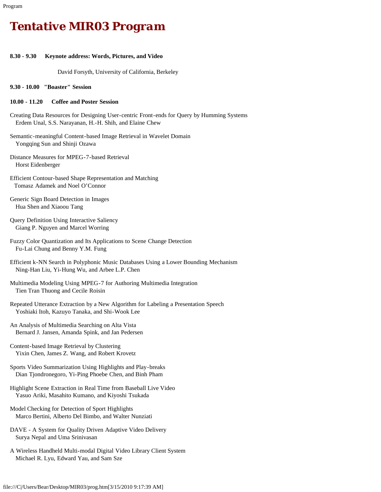## <span id="page-6-0"></span>*Tentative MIR03 Program*

#### **8.30 - 9.30 Keynote address: Words, Pictures, and Video**

David Forsyth, University of California, Berkeley

**9.30 - 10.00 "Boaster" Session**

#### **10.00 - 11.20 Coffee and Poster Session**

- Creating Data Resources for Designing User-centric Front-ends for Query by Humming Systems Erdem Unal, S.S. Narayanan, H.-H. Shih, and Elaine Chew
- Semantic-meaningful Content-based Image Retrieval in Wavelet Domain Yongqing Sun and Shinji Ozawa
- Distance Measures for MPEG-7-based Retrieval Horst Eidenberger
- Efficient Contour-based Shape Representation and Matching Tomasz Adamek and Noel O'Connor
- Generic Sign Board Detection in Images Hua Shen and Xiaoou Tang
- Query Definition Using Interactive Saliency Giang P. Nguyen and Marcel Worring
- Fuzzy Color Quantization and Its Applications to Scene Change Detection Fu-Lai Chung and Benny Y.M. Fung
- Efficient k-NN Search in Polyphonic Music Databases Using a Lower Bounding Mechanism Ning-Han Liu, Yi-Hung Wu, and Arbee L.P. Chen
- Multimedia Modeling Using MPEG-7 for Authoring Multimedia Integration Tien Tran Thuong and Cecile Roisin
- Repeated Utterance Extraction by a New Algorithm for Labeling a Presentation Speech Yoshiaki Itoh, Kazuyo Tanaka, and Shi-Wook Lee
- An Analysis of Multimedia Searching on Alta Vista Bernard J. Jansen, Amanda Spink, and Jan Pedersen
- Content-based Image Retrieval by Clustering Yixin Chen, James Z. Wang, and Robert Krovetz
- Sports Video Summarization Using Highlights and Play-breaks Dian Tjondronegoro, Yi-Ping Phoebe Chen, and Binh Pham
- Highlight Scene Extraction in Real Time from Baseball Live Video Yasuo Ariki, Masahito Kumano, and Kiyoshi Tsukada
- Model Checking for Detection of Sport Highlights Marco Bertini, Alberto Del Bimbo, and Walter Nunziati
- DAVE A System for Quality Driven Adaptive Video Delivery Surya Nepal and Uma Srinivasan
- A Wireless Handheld Multi-modal Digital Video Library Client System Michael R. Lyu, Edward Yau, and Sam Sze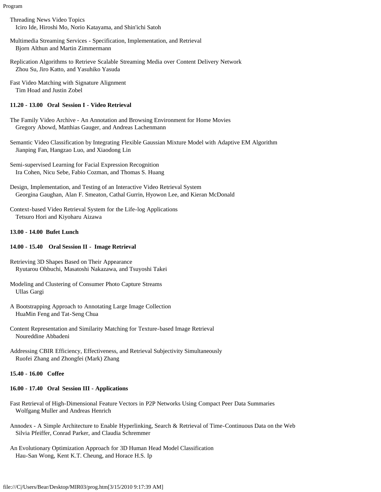Program

- Threading News Video Topics Iciro Ide, Hiroshi Mo, Norio Katayama, and Shin'ichi Satoh
- Multimedia Streaming Services Specification, Implementation, and Retrieval Bjorn Althun and Martin Zimmermann
- Replication Algorithms to Retrieve Scalable Streaming Media over Content Delivery Network Zhou Su, Jiro Katto, and Yasuhiko Yasuda
- Fast Video Matching with Signature Alignment Tim Hoad and Justin Zobel

#### **11.20 - 13.00 Oral Session I - Video Retrieval**

- The Family Video Archive An Annotation and Browsing Environment for Home Movies Gregory Abowd, Matthias Gauger, and Andreas Lachenmann
- Semantic Video Classification by Integrating Flexible Gaussian Mixture Model with Adaptive EM Algorithm Jianping Fan, Hangzao Luo, and Xiaodong Lin

Semi-supervised Learning for Facial Expression Recognition Ira Cohen, Nicu Sebe, Fabio Cozman, and Thomas S. Huang

- Design, Implementation, and Testing of an Interactive Video Retrieval System Georgina Gaughan, Alan F. Smeaton, Cathal Gurrin, Hyowon Lee, and Kieran McDonald
- Context-based Video Retrieval System for the Life-log Applications Tetsuro Hori and Kiyoharu Aizawa

#### **13.00 - 14.00 Bufet Lunch**

#### **14.00 - 15.40 Oral Session II - Image Retrieval**

- Retrieving 3D Shapes Based on Their Appearance Ryutarou Ohbuchi, Masatoshi Nakazawa, and Tsuyoshi Takei
- Modeling and Clustering of Consumer Photo Capture Streams Ullas Gargi
- A Bootstrapping Approach to Annotating Large Image Collection HuaMin Feng and Tat-Seng Chua
- Content Representation and Similarity Matching for Texture-based Image Retrieval Noureddine Abbadeni
- Addressing CBIR Efficiency, Effectiveness, and Retrieval Subjectivity Simultaneously Ruofei Zhang and Zhongfei (Mark) Zhang

#### **15.40 - 16.00 Coffee**

#### **16.00 - 17.40 Oral Session III - Applications**

- Fast Retrieval of High-Dimensional Feature Vectors in P2P Networks Using Compact Peer Data Summaries Wolfgang Muller and Andreas Henrich
- Annodex A Simple Architecture to Enable Hyperlinking, Search & Retrieval of Time-Continuous Data on the Web Silvia Pfeiffer, Conrad Parker, and Claudia Schremmer
- An Evolutionary Optimization Approach for 3D Human Head Model Classification Hau-San Wong, Kent K.T. Cheung, and Horace H.S. Ip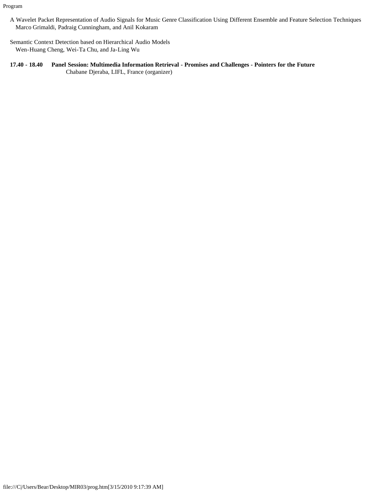Program

- A Wavelet Packet Representation of Audio Signals for Music Genre Classification Using Different Ensemble and Feature Selection Techniques Marco Grimaldi, Padraig Cunningham, and Anil Kokaram
- Semantic Context Detection based on Hierarchical Audio Models Wen-Huang Cheng, Wei-Ta Chu, and Ja-Ling Wu
- **17.40 18.40 Panel Session: Multimedia Information Retrieval Promises and Challenges Pointers for the Future** Chabane Djeraba, LIFL, France (organizer)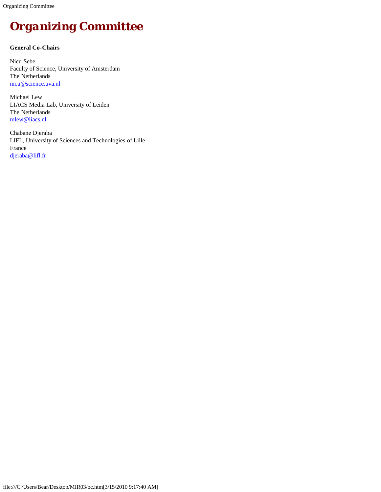<span id="page-9-0"></span>Organizing Committee

## *Organizing Committee*

#### **General Co-Chairs**

Nicu Sebe Faculty of Science, University of Amsterdam The Netherlands [nicu@science.uva.nl](mailto:nicu@science.uva.nl)

Michael Lew LIACS Media Lab, University of Leiden The Netherlands [mlew@liacs.nl](mailto:mlew@liacs.nl)

Chabane Djeraba LIFL, University of Sciences and Technologies of Lille France [djeraba@lifl.fr](mailto:djeraba@lifl.fr)